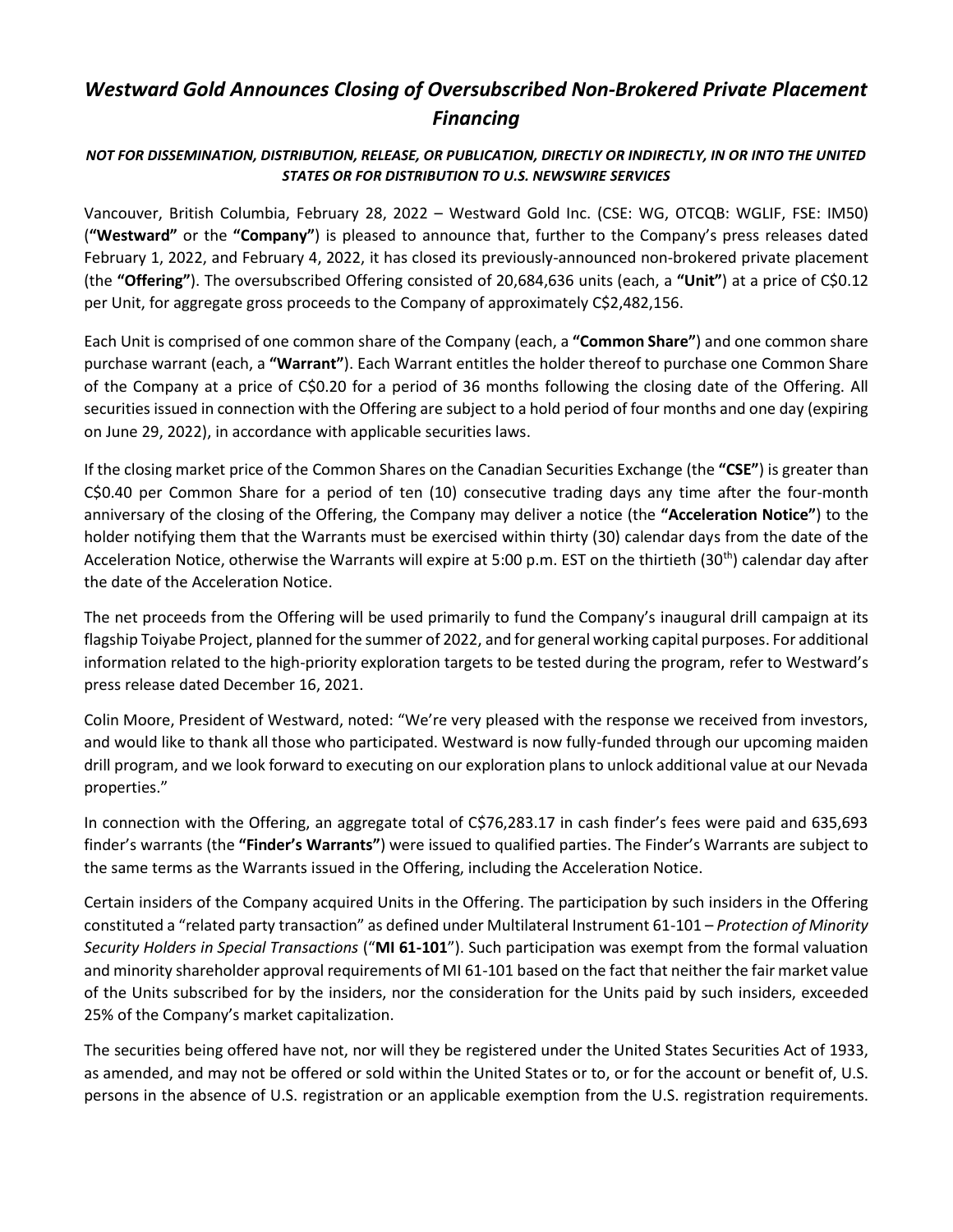## *Westward Gold Announces Closing of Oversubscribed Non-Brokered Private Placement Financing*

## *NOT FOR DISSEMINATION, DISTRIBUTION, RELEASE, OR PUBLICATION, DIRECTLY OR INDIRECTLY, IN OR INTO THE UNITED STATES OR FOR DISTRIBUTION TO U.S. NEWSWIRE SERVICES*

Vancouver, British Columbia, February 28, 2022 – Westward Gold Inc. (CSE: WG, OTCQB: WGLIF, FSE: IM50) (**"Westward"** or the **"Company"**) is pleased to announce that, further to the Company's press releases dated February 1, 2022, and February 4, 2022, it has closed its previously-announced non-brokered private placement (the **"Offering"**). The oversubscribed Offering consisted of 20,684,636 units (each, a **"Unit"**) at a price of C\$0.12 per Unit, for aggregate gross proceeds to the Company of approximately C\$2,482,156.

Each Unit is comprised of one common share of the Company (each, a **"Common Share"**) and one common share purchase warrant (each, a **"Warrant"**). Each Warrant entitles the holder thereof to purchase one Common Share of the Company at a price of C\$0.20 for a period of 36 months following the closing date of the Offering. All securities issued in connection with the Offering are subject to a hold period of four months and one day (expiring on June 29, 2022), in accordance with applicable securities laws.

If the closing market price of the Common Shares on the Canadian Securities Exchange (the **"CSE"**) is greater than C\$0.40 per Common Share for a period of ten (10) consecutive trading days any time after the four-month anniversary of the closing of the Offering, the Company may deliver a notice (the **"Acceleration Notice"**) to the holder notifying them that the Warrants must be exercised within thirty (30) calendar days from the date of the Acceleration Notice, otherwise the Warrants will expire at 5:00 p.m. EST on the thirtieth (30<sup>th</sup>) calendar day after the date of the Acceleration Notice.

The net proceeds from the Offering will be used primarily to fund the Company's inaugural drill campaign at its flagship Toiyabe Project, planned for the summer of 2022, and for general working capital purposes. For additional information related to the high-priority exploration targets to be tested during the program, refer to Westward's press release dated December 16, 2021.

Colin Moore, President of Westward, noted: "We're very pleased with the response we received from investors, and would like to thank all those who participated. Westward is now fully-funded through our upcoming maiden drill program, and we look forward to executing on our exploration plans to unlock additional value at our Nevada properties."

In connection with the Offering, an aggregate total of C\$76,283.17 in cash finder's fees were paid and 635,693 finder's warrants (the **"Finder's Warrants"**) were issued to qualified parties. The Finder's Warrants are subject to the same terms as the Warrants issued in the Offering, including the Acceleration Notice.

Certain insiders of the Company acquired Units in the Offering. The participation by such insiders in the Offering constituted a "related party transaction" as defined under Multilateral Instrument 61-101 – *Protection of Minority Security Holders in Special Transactions* ("**MI 61-101**"). Such participation was exempt from the formal valuation and minority shareholder approval requirements of MI 61-101 based on the fact that neither the fair market value of the Units subscribed for by the insiders, nor the consideration for the Units paid by such insiders, exceeded 25% of the Company's market capitalization.

The securities being offered have not, nor will they be registered under the United States Securities Act of 1933, as amended, and may not be offered or sold within the United States or to, or for the account or benefit of, U.S. persons in the absence of U.S. registration or an applicable exemption from the U.S. registration requirements.